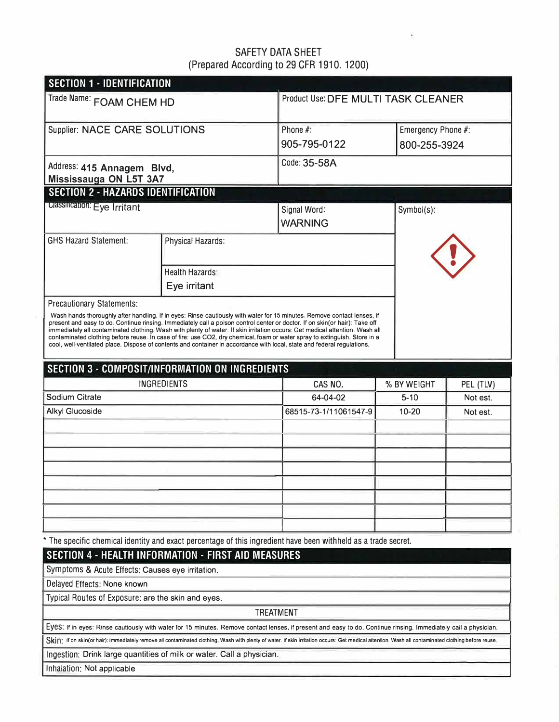### SAFETY DATA SHEET (Prepared According to 29 CFR 1910. 1200)

 $\tilde{\omega}$ 

| <b>SECTION 1 - IDENTIFICATION</b>                    |                                                                                                                                                                                                                                                                                                                                                                                                                                                                                                                                                                                                                                                |                                              |             |                    |  |
|------------------------------------------------------|------------------------------------------------------------------------------------------------------------------------------------------------------------------------------------------------------------------------------------------------------------------------------------------------------------------------------------------------------------------------------------------------------------------------------------------------------------------------------------------------------------------------------------------------------------------------------------------------------------------------------------------------|----------------------------------------------|-------------|--------------------|--|
| Trade Name: FOAM CHEM HD                             |                                                                                                                                                                                                                                                                                                                                                                                                                                                                                                                                                                                                                                                | Product Use: DFE MULTI TASK CLEANER          |             |                    |  |
| Supplier: NACE CARE SOLUTIONS                        |                                                                                                                                                                                                                                                                                                                                                                                                                                                                                                                                                                                                                                                | Phone #:                                     |             | Emergency Phone #: |  |
|                                                      |                                                                                                                                                                                                                                                                                                                                                                                                                                                                                                                                                                                                                                                | 905-795-0122                                 |             | 800-255-3924       |  |
| Address: 415 Annagem Blvd,<br>Mississauga ON L5T 3A7 |                                                                                                                                                                                                                                                                                                                                                                                                                                                                                                                                                                                                                                                | Code: 35-58A                                 |             |                    |  |
| <b>SECTION 2 - HAZARDS IDENTIFICATION</b>            |                                                                                                                                                                                                                                                                                                                                                                                                                                                                                                                                                                                                                                                |                                              |             |                    |  |
| <b>Classification: Eye Irritant</b>                  |                                                                                                                                                                                                                                                                                                                                                                                                                                                                                                                                                                                                                                                | Signal Word:<br>Symbol(s):<br><b>WARNING</b> |             |                    |  |
| <b>GHS Hazard Statement:</b>                         | <b>Physical Hazards:</b>                                                                                                                                                                                                                                                                                                                                                                                                                                                                                                                                                                                                                       |                                              |             |                    |  |
|                                                      | <b>Health Hazards:</b>                                                                                                                                                                                                                                                                                                                                                                                                                                                                                                                                                                                                                         |                                              |             |                    |  |
|                                                      | Eye irritant                                                                                                                                                                                                                                                                                                                                                                                                                                                                                                                                                                                                                                   |                                              |             |                    |  |
| <b>Precautionary Statements:</b>                     | Wash hands thoroughly after handling. If in eyes: Rinse cautiously with water for 15 minutes, Remove contact lenses, if<br>present and easy to do, Continue rinsing. Immediately call a poison control center or doctor. If on skin(or hair): Take off<br>immediately all contaminated clothing. Wash with plenty of water. If skin irritation occurs: Get medical attention. Wash all<br>contaminated clothing before reuse. In case of fire: use CO2, dry chemical, foam or water spray to extinguish. Store in a<br>cool, well-ventilated place. Dispose of contents and container in accordance with local, state and federal regulations. |                                              |             |                    |  |
|                                                      | <b>SECTION 3 - COMPOSIT/INFORMATION ON INGREDIENTS</b>                                                                                                                                                                                                                                                                                                                                                                                                                                                                                                                                                                                         |                                              |             |                    |  |
|                                                      | INGREDIENTS                                                                                                                                                                                                                                                                                                                                                                                                                                                                                                                                                                                                                                    | CAS NO.                                      | % BY WEIGHT | PEL (TLV)          |  |
| Sodium Citrate                                       |                                                                                                                                                                                                                                                                                                                                                                                                                                                                                                                                                                                                                                                | 64-04-02                                     | $5 - 10$    | Not est.           |  |
| <b>Alkyl Glucoside</b>                               |                                                                                                                                                                                                                                                                                                                                                                                                                                                                                                                                                                                                                                                | 68515-73-1/11061547-9                        | $10 - 20$   | Not est.           |  |
|                                                      |                                                                                                                                                                                                                                                                                                                                                                                                                                                                                                                                                                                                                                                |                                              |             |                    |  |
|                                                      |                                                                                                                                                                                                                                                                                                                                                                                                                                                                                                                                                                                                                                                |                                              |             |                    |  |
|                                                      |                                                                                                                                                                                                                                                                                                                                                                                                                                                                                                                                                                                                                                                |                                              |             |                    |  |
|                                                      |                                                                                                                                                                                                                                                                                                                                                                                                                                                                                                                                                                                                                                                |                                              |             |                    |  |
|                                                      |                                                                                                                                                                                                                                                                                                                                                                                                                                                                                                                                                                                                                                                |                                              |             |                    |  |
|                                                      |                                                                                                                                                                                                                                                                                                                                                                                                                                                                                                                                                                                                                                                |                                              |             |                    |  |
|                                                      |                                                                                                                                                                                                                                                                                                                                                                                                                                                                                                                                                                                                                                                |                                              |             |                    |  |
|                                                      | * The specific chemical identity and exact percentage of this ingredient have been withheld as a trade secret.                                                                                                                                                                                                                                                                                                                                                                                                                                                                                                                                 |                                              |             |                    |  |
|                                                      | <b>SECTION 4 - HEALTH INFORMATION - FIRST AID MEASURES</b>                                                                                                                                                                                                                                                                                                                                                                                                                                                                                                                                                                                     |                                              |             |                    |  |
| Symptoms & Acute Effects: Causes eye irritation.     |                                                                                                                                                                                                                                                                                                                                                                                                                                                                                                                                                                                                                                                |                                              |             |                    |  |
| Delayed Effects: None known                          |                                                                                                                                                                                                                                                                                                                                                                                                                                                                                                                                                                                                                                                |                                              |             |                    |  |
| Typical Routes of Exposure: are the skin and eyes.   |                                                                                                                                                                                                                                                                                                                                                                                                                                                                                                                                                                                                                                                |                                              |             |                    |  |
|                                                      | <b>TREATMENT</b>                                                                                                                                                                                                                                                                                                                                                                                                                                                                                                                                                                                                                               |                                              |             |                    |  |
|                                                      | Eyes: If in eyes: Rinse cautiously with water for 15 minutes. Remove contact lenses, if present and easy to do. Continue rinsing. Immediately call a physician.                                                                                                                                                                                                                                                                                                                                                                                                                                                                                |                                              |             |                    |  |
|                                                      | SKIN: If on skin(or hair): Immediately remove all contaminated clothing. Wash with plenty of water. If skin irritation occurs: Get medical attention. Wash all contaminated clothing before reuse.                                                                                                                                                                                                                                                                                                                                                                                                                                             |                                              |             |                    |  |
|                                                      | Ingestion: Drink large quantities of milk or water. Call a physician.                                                                                                                                                                                                                                                                                                                                                                                                                                                                                                                                                                          |                                              |             |                    |  |
| Inhalation: Not applicable                           |                                                                                                                                                                                                                                                                                                                                                                                                                                                                                                                                                                                                                                                |                                              |             |                    |  |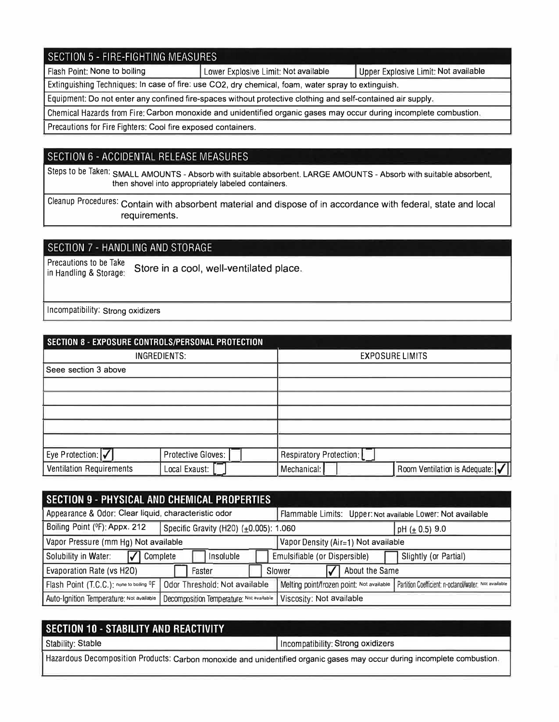#### SECTION 5 - FIRE-FIGHTING MEASURES Flash Point: None to boiling Lower Explosive Limit: Not available Upper Explosive Limit: Not available Extinguishing Techniques: In case of fire: use CO2, dry chemical, foam, water spray to extinguish. Equipment: Do not enter any confined fire-spaces without protective clothing and self-contained air supply.

Chemical Hazards from Fire: Carbon monoxide and unidentified organic gases may occur during incomplete combustion.

Precautions for Fire Fighters: Cool fire exposed containers.

### SECTION 6 - ACCIDENTAL RELEASE MEASURES

Steps to be Taken: SMALL AMOUNTS - Absorb with suitable absorbent. LARGE AMOUNTS - Absorb with suitable absorbent, then shovel into appropriately labeled containers.

Cleanup Procedures: Contain with absorbent material and dispose of in accordance with federal, state and local requirements.

### SECTION 7 - HANDLING AND STORAGE

Precautions to be Take<br>in Handling & Storage: Store in a cool, well-ventilated place.

Incompatibility: Strong oxidizers

| SECTION 8 - EXPOSURE CONTROLS/PERSONAL PROTECTION |                    |                         |                               |  |
|---------------------------------------------------|--------------------|-------------------------|-------------------------------|--|
| INGREDIENTS:                                      |                    | <b>EXPOSURE LIMITS</b>  |                               |  |
| Seee section 3 above                              |                    |                         |                               |  |
|                                                   |                    |                         |                               |  |
|                                                   |                    |                         |                               |  |
|                                                   |                    |                         |                               |  |
|                                                   |                    |                         |                               |  |
|                                                   |                    |                         |                               |  |
| Eye Protection: √                                 | Protective Gloves: | Respiratory Protection: |                               |  |
| <b>Ventilation Requirements</b>                   | Local Exaust:      | Mechanical:             | Room Ventilation is Adequate: |  |

| <b>SECTION 9 - PHYSICAL AND CHEMICAL PROPERTIES</b>                         |                                                                      |                                                                                                   |                       |  |
|-----------------------------------------------------------------------------|----------------------------------------------------------------------|---------------------------------------------------------------------------------------------------|-----------------------|--|
| Appearance & Odor: Clear liquid, characteristic odor                        |                                                                      | Flammable Limits: Upper: Not available Lower: Not available                                       |                       |  |
| Boiling Point (ºF): Appx. 212                                               | Specific Gravity (H20) (±0.005): 1.060                               | pH ( $\pm$ 0.5) 9.0                                                                               |                       |  |
| Vapor Pressure (mm Hg) Not available<br>Vapor Density (Air=1) Not available |                                                                      |                                                                                                   |                       |  |
| Solubility in Water:                                                        | Complete<br>Insoluble                                                | Emulsifiable (or Dispersible)                                                                     | Slightly (or Partial) |  |
| About the Same<br><b>Evaporation Rate (vs H2O)</b><br>Faster<br>Slower      |                                                                      |                                                                                                   |                       |  |
| Flash Point (T.C.C.): none to boiling <sup>O</sup> F                        | Odor Threshold: Not available                                        | Melting point/frozen point: Not available   Partition Coefficient: n-octanol/water: Not available |                       |  |
| Auto-Ignition Temperature: Not available                                    | Decomposition Temperature: Not available<br>Viscosity: Not available |                                                                                                   |                       |  |

| SECTION 10 - STABILITY AND REACTIVITY                                                                                    |                                   |  |  |
|--------------------------------------------------------------------------------------------------------------------------|-----------------------------------|--|--|
| Stability: Stable                                                                                                        | Incompatibility: Strong oxidizers |  |  |
| Hazardous Decomposition Products: Carbon monoxide and unidentified organic gases may occur during incomplete combustion. |                                   |  |  |